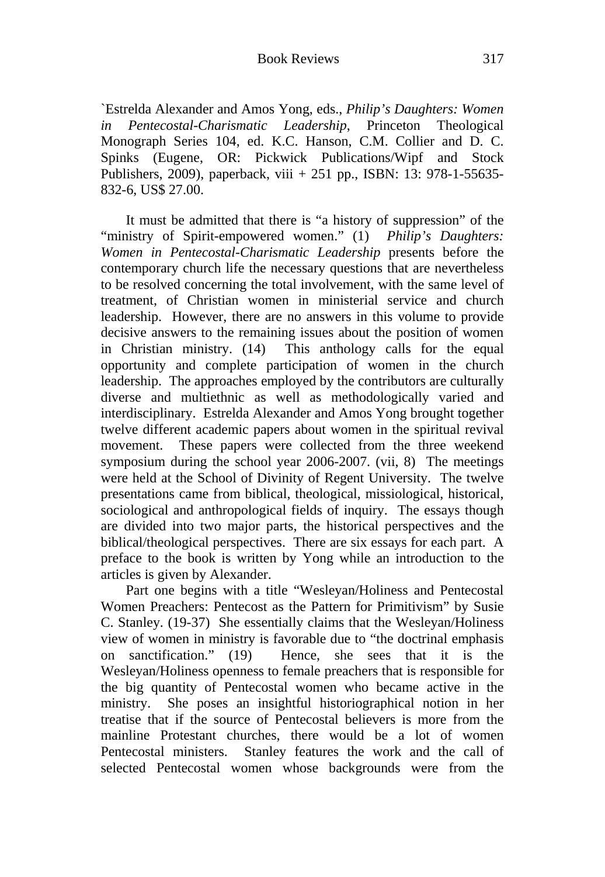`Estrelda Alexander and Amos Yong, eds., *Philip's Daughters: Women in Pentecostal-Charismatic Leadership*, Princeton Theological Monograph Series 104, ed. K.C. Hanson, C.M. Collier and D. C. Spinks (Eugene, OR: Pickwick Publications/Wipf and Stock Publishers, 2009), paperback, viii + 251 pp., ISBN: 13: 978-1-55635- 832-6, US\$ 27.00.

It must be admitted that there is "a history of suppression" of the "ministry of Spirit-empowered women." (1) *Philip's Daughters: Women in Pentecostal-Charismatic Leadership* presents before the contemporary church life the necessary questions that are nevertheless to be resolved concerning the total involvement, with the same level of treatment, of Christian women in ministerial service and church leadership. However, there are no answers in this volume to provide decisive answers to the remaining issues about the position of women in Christian ministry. (14) This anthology calls for the equal opportunity and complete participation of women in the church leadership. The approaches employed by the contributors are culturally diverse and multiethnic as well as methodologically varied and interdisciplinary. Estrelda Alexander and Amos Yong brought together twelve different academic papers about women in the spiritual revival movement. These papers were collected from the three weekend symposium during the school year 2006-2007. (vii, 8) The meetings were held at the School of Divinity of Regent University. The twelve presentations came from biblical, theological, missiological, historical, sociological and anthropological fields of inquiry. The essays though are divided into two major parts, the historical perspectives and the biblical/theological perspectives. There are six essays for each part. A preface to the book is written by Yong while an introduction to the articles is given by Alexander.

Part one begins with a title "Wesleyan/Holiness and Pentecostal Women Preachers: Pentecost as the Pattern for Primitivism" by Susie C. Stanley. (19-37) She essentially claims that the Wesleyan/Holiness view of women in ministry is favorable due to "the doctrinal emphasis on sanctification." (19) Hence, she sees that it is the Wesleyan/Holiness openness to female preachers that is responsible for the big quantity of Pentecostal women who became active in the ministry. She poses an insightful historiographical notion in her treatise that if the source of Pentecostal believers is more from the mainline Protestant churches, there would be a lot of women Pentecostal ministers. Stanley features the work and the call of selected Pentecostal women whose backgrounds were from the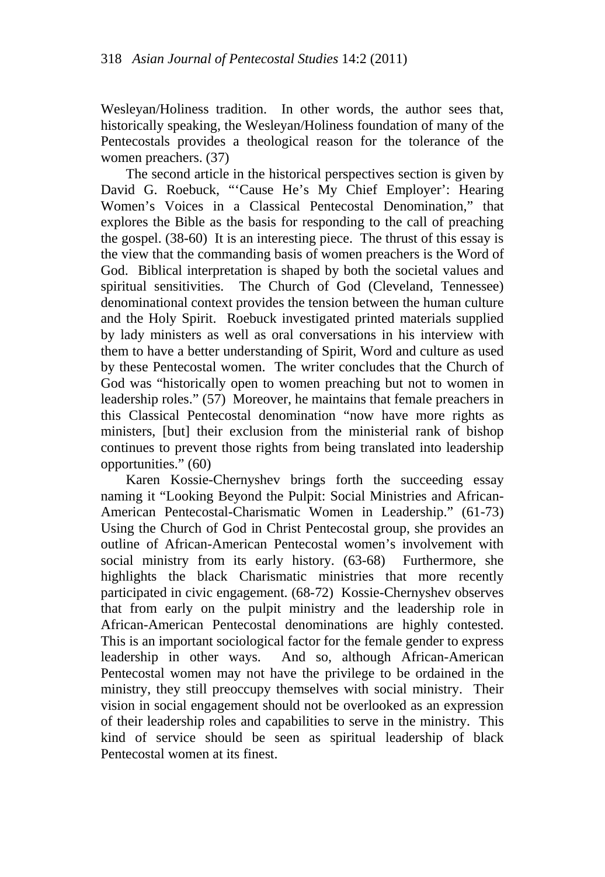Wesleyan/Holiness tradition. In other words, the author sees that, historically speaking, the Wesleyan/Holiness foundation of many of the Pentecostals provides a theological reason for the tolerance of the women preachers. (37)

The second article in the historical perspectives section is given by David G. Roebuck, "'Cause He's My Chief Employer': Hearing Women's Voices in a Classical Pentecostal Denomination," that explores the Bible as the basis for responding to the call of preaching the gospel. (38-60) It is an interesting piece. The thrust of this essay is the view that the commanding basis of women preachers is the Word of God. Biblical interpretation is shaped by both the societal values and spiritual sensitivities. The Church of God (Cleveland, Tennessee) denominational context provides the tension between the human culture and the Holy Spirit. Roebuck investigated printed materials supplied by lady ministers as well as oral conversations in his interview with them to have a better understanding of Spirit, Word and culture as used by these Pentecostal women. The writer concludes that the Church of God was "historically open to women preaching but not to women in leadership roles." (57) Moreover, he maintains that female preachers in this Classical Pentecostal denomination "now have more rights as ministers, [but] their exclusion from the ministerial rank of bishop continues to prevent those rights from being translated into leadership opportunities." (60)

Karen Kossie-Chernyshev brings forth the succeeding essay naming it "Looking Beyond the Pulpit: Social Ministries and African-American Pentecostal-Charismatic Women in Leadership." (61-73) Using the Church of God in Christ Pentecostal group, she provides an outline of African-American Pentecostal women's involvement with social ministry from its early history. (63-68) Furthermore, she highlights the black Charismatic ministries that more recently participated in civic engagement. (68-72) Kossie-Chernyshev observes that from early on the pulpit ministry and the leadership role in African-American Pentecostal denominations are highly contested. This is an important sociological factor for the female gender to express leadership in other ways. And so, although African-American Pentecostal women may not have the privilege to be ordained in the ministry, they still preoccupy themselves with social ministry. Their vision in social engagement should not be overlooked as an expression of their leadership roles and capabilities to serve in the ministry. This kind of service should be seen as spiritual leadership of black Pentecostal women at its finest.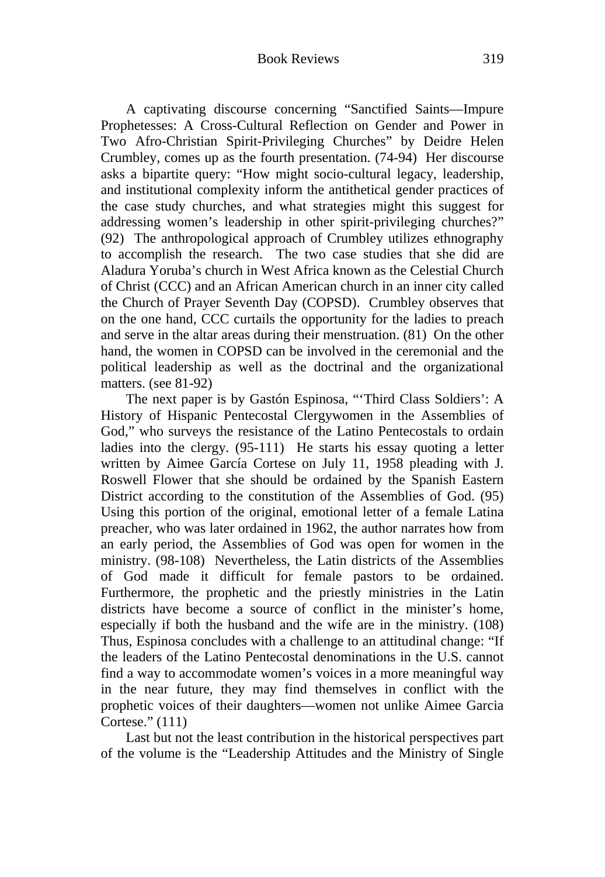A captivating discourse concerning "Sanctified Saints—Impure Prophetesses: A Cross-Cultural Reflection on Gender and Power in Two Afro-Christian Spirit-Privileging Churches" by Deidre Helen Crumbley, comes up as the fourth presentation. (74-94) Her discourse asks a bipartite query: "How might socio-cultural legacy, leadership, and institutional complexity inform the antithetical gender practices of the case study churches, and what strategies might this suggest for addressing women's leadership in other spirit-privileging churches?" (92) The anthropological approach of Crumbley utilizes ethnography to accomplish the research. The two case studies that she did are Aladura Yoruba's church in West Africa known as the Celestial Church of Christ (CCC) and an African American church in an inner city called the Church of Prayer Seventh Day (COPSD). Crumbley observes that on the one hand, CCC curtails the opportunity for the ladies to preach and serve in the altar areas during their menstruation. (81) On the other hand, the women in COPSD can be involved in the ceremonial and the political leadership as well as the doctrinal and the organizational matters. (see 81-92)

The next paper is by Gastón Espinosa, "'Third Class Soldiers': A History of Hispanic Pentecostal Clergywomen in the Assemblies of God," who surveys the resistance of the Latino Pentecostals to ordain ladies into the clergy. (95-111) He starts his essay quoting a letter written by Aimee García Cortese on July 11, 1958 pleading with J. Roswell Flower that she should be ordained by the Spanish Eastern District according to the constitution of the Assemblies of God. (95) Using this portion of the original, emotional letter of a female Latina preacher, who was later ordained in 1962, the author narrates how from an early period, the Assemblies of God was open for women in the ministry. (98-108) Nevertheless, the Latin districts of the Assemblies of God made it difficult for female pastors to be ordained. Furthermore, the prophetic and the priestly ministries in the Latin districts have become a source of conflict in the minister's home, especially if both the husband and the wife are in the ministry. (108) Thus, Espinosa concludes with a challenge to an attitudinal change: "If the leaders of the Latino Pentecostal denominations in the U.S. cannot find a way to accommodate women's voices in a more meaningful way in the near future, they may find themselves in conflict with the prophetic voices of their daughters—women not unlike Aimee Garcia Cortese." (111)

Last but not the least contribution in the historical perspectives part of the volume is the "Leadership Attitudes and the Ministry of Single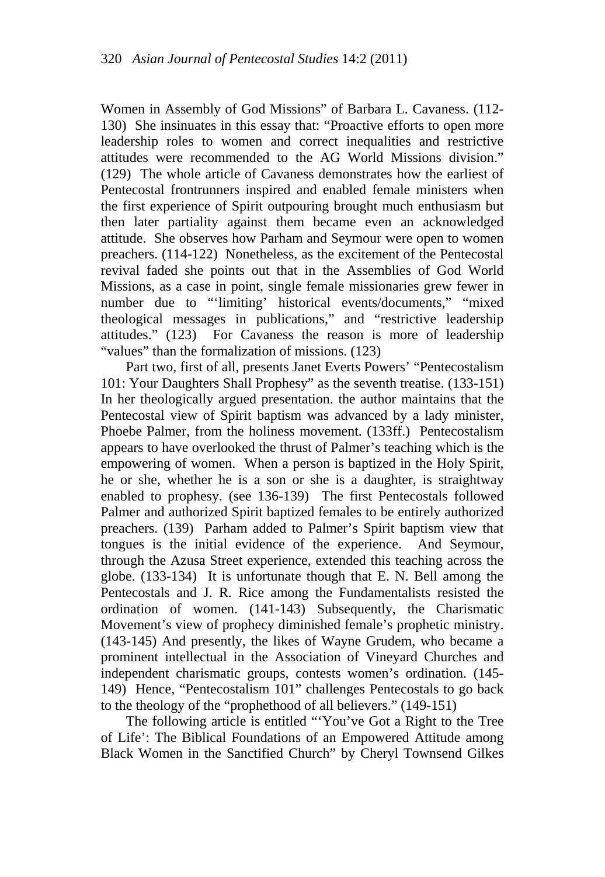Women in Assembly of God Missions" of Barbara L. Cavaness. (112- 130) She insinuates in this essay that: "Proactive efforts to open more leadership roles to women and correct inequalities and restrictive attitudes were recommended to the AG World Missions division." (129) The whole article of Cavaness demonstrates how the earliest of Pentecostal frontrunners inspired and enabled female ministers when the first experience of Spirit outpouring brought much enthusiasm but then later partiality against them became even an acknowledged attitude. She observes how Parham and Seymour were open to women preachers. (114-122) Nonetheless, as the excitement of the Pentecostal revival faded she points out that in the Assemblies of God World Missions, as a case in point, single female missionaries grew fewer in number due to "'limiting' historical events/documents," "mixed theological messages in publications," and "restrictive leadership attitudes." (123) For Cavaness the reason is more of leadership "values" than the formalization of missions. (123)

Part two, first of all, presents Janet Everts Powers' "Pentecostalism 101: Your Daughters Shall Prophesy" as the seventh treatise. (133-151) In her theologically argued presentation. the author maintains that the Pentecostal view of Spirit baptism was advanced by a lady minister, Phoebe Palmer, from the holiness movement. (133ff.) Pentecostalism appears to have overlooked the thrust of Palmer's teaching which is the empowering of women. When a person is baptized in the Holy Spirit, he or she, whether he is a son or she is a daughter, is straightway enabled to prophesy. (see 136-139) The first Pentecostals followed Palmer and authorized Spirit baptized females to be entirely authorized preachers. (139) Parham added to Palmer's Spirit baptism view that tongues is the initial evidence of the experience. And Seymour, through the Azusa Street experience, extended this teaching across the globe. (133-134) It is unfortunate though that E. N. Bell among the Pentecostals and J. R. Rice among the Fundamentalists resisted the ordination of women. (141-143) Subsequently, the Charismatic Movement's view of prophecy diminished female's prophetic ministry. (143-145) And presently, the likes of Wayne Grudem, who became a prominent intellectual in the Association of Vineyard Churches and independent charismatic groups, contests women's ordination. (145- 149) Hence, "Pentecostalism 101" challenges Pentecostals to go back to the theology of the "prophethood of all believers." (149-151)

The following article is entitled "'You've Got a Right to the Tree of Life': The Biblical Foundations of an Empowered Attitude among Black Women in the Sanctified Church" by Cheryl Townsend Gilkes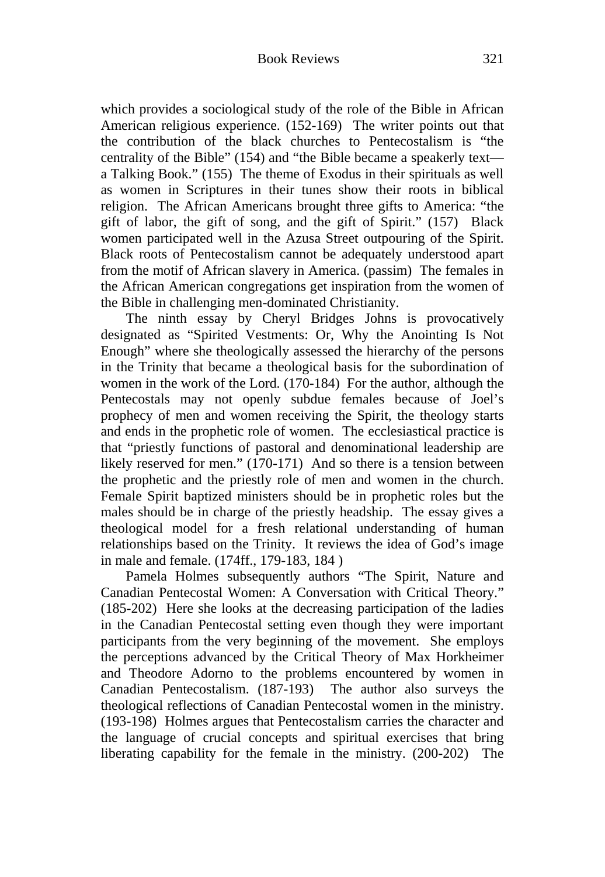which provides a sociological study of the role of the Bible in African American religious experience. (152-169) The writer points out that the contribution of the black churches to Pentecostalism is "the centrality of the Bible" (154) and "the Bible became a speakerly text a Talking Book." (155) The theme of Exodus in their spirituals as well as women in Scriptures in their tunes show their roots in biblical religion. The African Americans brought three gifts to America: "the gift of labor, the gift of song, and the gift of Spirit." (157) Black women participated well in the Azusa Street outpouring of the Spirit. Black roots of Pentecostalism cannot be adequately understood apart from the motif of African slavery in America. (passim) The females in the African American congregations get inspiration from the women of the Bible in challenging men-dominated Christianity.

The ninth essay by Cheryl Bridges Johns is provocatively designated as "Spirited Vestments: Or, Why the Anointing Is Not Enough" where she theologically assessed the hierarchy of the persons in the Trinity that became a theological basis for the subordination of women in the work of the Lord. (170-184) For the author, although the Pentecostals may not openly subdue females because of Joel's prophecy of men and women receiving the Spirit, the theology starts and ends in the prophetic role of women. The ecclesiastical practice is that "priestly functions of pastoral and denominational leadership are likely reserved for men." (170-171) And so there is a tension between the prophetic and the priestly role of men and women in the church. Female Spirit baptized ministers should be in prophetic roles but the males should be in charge of the priestly headship. The essay gives a theological model for a fresh relational understanding of human relationships based on the Trinity. It reviews the idea of God's image in male and female. (174ff., 179-183, 184 )

Pamela Holmes subsequently authors "The Spirit, Nature and Canadian Pentecostal Women: A Conversation with Critical Theory." (185-202) Here she looks at the decreasing participation of the ladies in the Canadian Pentecostal setting even though they were important participants from the very beginning of the movement. She employs the perceptions advanced by the Critical Theory of Max Horkheimer and Theodore Adorno to the problems encountered by women in Canadian Pentecostalism. (187-193) The author also surveys the theological reflections of Canadian Pentecostal women in the ministry. (193-198) Holmes argues that Pentecostalism carries the character and the language of crucial concepts and spiritual exercises that bring liberating capability for the female in the ministry. (200-202) The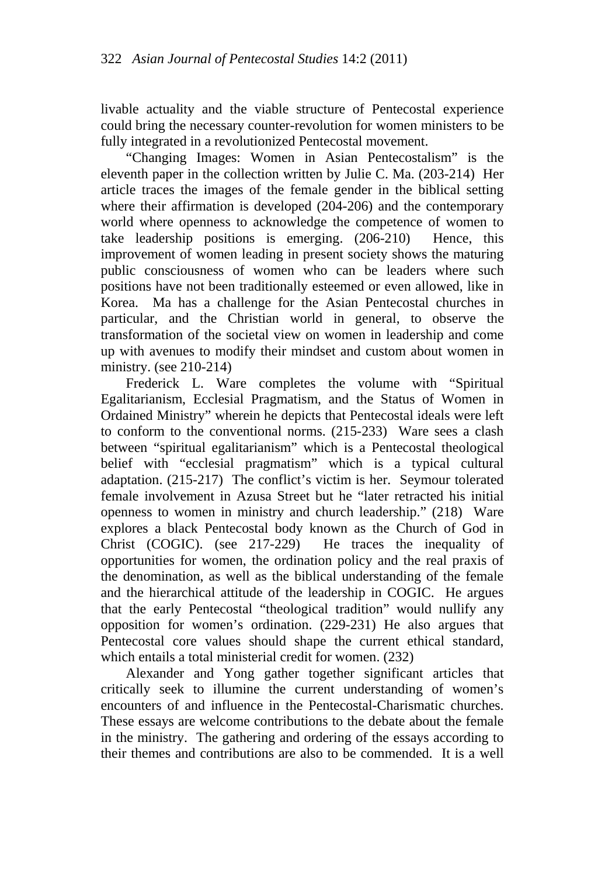livable actuality and the viable structure of Pentecostal experience could bring the necessary counter-revolution for women ministers to be fully integrated in a revolutionized Pentecostal movement.

"Changing Images: Women in Asian Pentecostalism" is the eleventh paper in the collection written by Julie C. Ma. (203-214) Her article traces the images of the female gender in the biblical setting where their affirmation is developed (204-206) and the contemporary world where openness to acknowledge the competence of women to take leadership positions is emerging. (206-210) Hence, this improvement of women leading in present society shows the maturing public consciousness of women who can be leaders where such positions have not been traditionally esteemed or even allowed, like in Korea. Ma has a challenge for the Asian Pentecostal churches in particular, and the Christian world in general, to observe the transformation of the societal view on women in leadership and come up with avenues to modify their mindset and custom about women in ministry. (see 210-214)

Frederick L. Ware completes the volume with "Spiritual" Egalitarianism, Ecclesial Pragmatism, and the Status of Women in Ordained Ministry" wherein he depicts that Pentecostal ideals were left to conform to the conventional norms. (215-233) Ware sees a clash between "spiritual egalitarianism" which is a Pentecostal theological belief with "ecclesial pragmatism" which is a typical cultural adaptation. (215-217) The conflict's victim is her. Seymour tolerated female involvement in Azusa Street but he "later retracted his initial openness to women in ministry and church leadership." (218) Ware explores a black Pentecostal body known as the Church of God in Christ (COGIC). (see 217-229) He traces the inequality of opportunities for women, the ordination policy and the real praxis of the denomination, as well as the biblical understanding of the female and the hierarchical attitude of the leadership in COGIC. He argues that the early Pentecostal "theological tradition" would nullify any opposition for women's ordination. (229-231) He also argues that Pentecostal core values should shape the current ethical standard, which entails a total ministerial credit for women. (232)

Alexander and Yong gather together significant articles that critically seek to illumine the current understanding of women's encounters of and influence in the Pentecostal-Charismatic churches. These essays are welcome contributions to the debate about the female in the ministry. The gathering and ordering of the essays according to their themes and contributions are also to be commended. It is a well